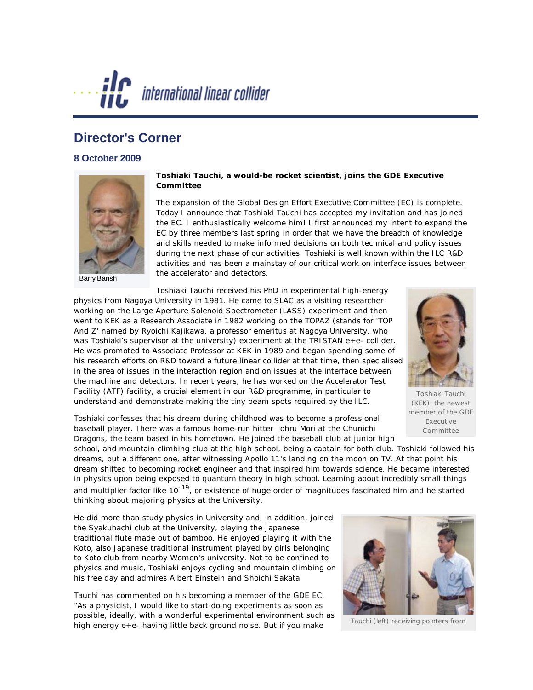

## **Director's Corner**

## **8 October 2009**



Barry Barish

## **Toshiaki Tauchi, a would-be rocket scientist, joins the GDE Executive Committee**

The expansion of the Global Design Effort Executive Committee (EC) is complete. Today I announce that Toshiaki Tauchi has accepted my invitation and has joined the EC. I enthusiastically welcome him! I first announced my intent to expand the EC by three members last spring in order that we have the breadth of knowledge and skills needed to make informed decisions on both technical and policy issues during the next phase of our activities. Toshiaki is well known within the ILC R&D activities and has been a mainstay of our critical work on interface issues between the accelerator and detectors.

Toshiaki Tauchi received his PhD in experimental high-energy physics from Nagoya University in 1981. He came to SLAC as a visiting researcher working on the Large Aperture Solenoid Spectrometer (LASS) experiment and then went to KEK as a Research Associate in 1982 working on the TOPAZ (stands for 'TOP And Z' named by Ryoichi Kajikawa, a professor emeritus at Nagoya University, who was Toshiaki's supervisor at the university) experiment at the TRISTAN e+e- collider. He was promoted to Associate Professor at KEK in 1989 and began spending some of his research efforts on R&D toward a future linear collider at that time, then specialised in the area of issues in the interaction region and on issues at the interface between the machine and detectors. In recent years, he has worked on the Accelerator Test Facility (ATF) facility, a crucial element in our R&D programme, in particular to understand and demonstrate making the tiny beam spots required by the ILC.



Toshiaki Tauchi (KEK), the newest member of the GDE Executive Committee

Toshiaki confesses that his dream during childhood was to become a professional baseball player. There was a famous home-run hitter Tohru Mori at the Chunichi Dragons, the team based in his hometown. He joined the baseball club at junior high

school, and mountain climbing club at the high school, being a captain for both club. Toshiaki followed his dreams, but a different one, after witnessing Apollo 11's landing on the moon on TV. At that point his dream shifted to becoming rocket engineer and that inspired him towards science. He became interested in physics upon being exposed to quantum theory in high school. Learning about incredibly small things and multiplier factor like 10<sup>-19</sup>, or existence of huge order of magnitudes fascinated him and he started thinking about majoring physics at the University.

He did more than study physics in University and, in addition, joined the Syakuhachi club at the University, playing the Japanese traditional flute made out of bamboo. He enjoyed playing it with the Koto, also Japanese traditional instrument played by girls belonging to Koto club from nearby Women's university. Not to be confined to physics and music, Toshiaki enjoys cycling and mountain climbing on his free day and admires Albert Einstein and Shoichi Sakata.

Tauchi has commented on his becoming a member of the GDE EC. "As a physicist, I would like to start doing experiments as soon as possible, ideally, with a wonderful experimental environment such as high energy e+e- having little back ground noise. But if you make



Tauchi (left) receiving pointers from